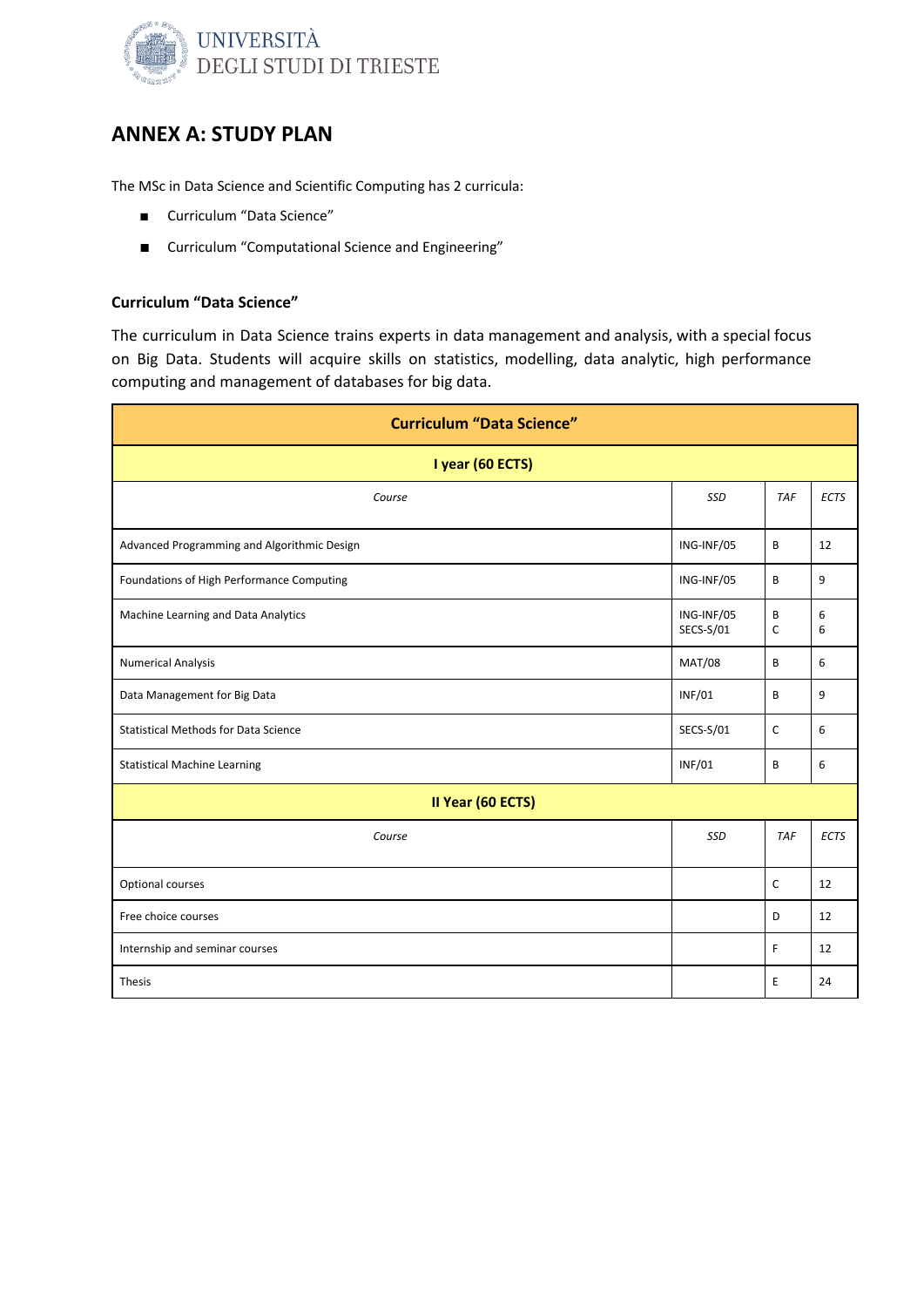

### ANNEX A: STUDY PLAN

The MSc in Data Science and Scientific Computing has 2 curricula:

- Curriculum "Data Science"
- Curriculum "Computational Science and Engineering"

### Curriculum "Data Science"

The curriculum in Data Science trains experts in data management and analysis, with a special focus on Big Data. Students will acquire skills on statistics, modelling, data analytic, high performance computing and management of databases for big data.

| <b>Curriculum "Data Science"</b>            |                         |            |             |  |
|---------------------------------------------|-------------------------|------------|-------------|--|
| I year (60 ECTS)                            |                         |            |             |  |
| Course                                      | SSD                     | <b>TAF</b> | <b>ECTS</b> |  |
| Advanced Programming and Algorithmic Design | ING-INF/05              | B          | 12          |  |
| Foundations of High Performance Computing   | ING-INF/05              | B          | 9           |  |
| Machine Learning and Data Analytics         | ING-INF/05<br>SECS-S/01 | B<br>C     | 6<br>6      |  |
| <b>Numerical Analysis</b>                   | <b>MAT/08</b>           | B          | 6           |  |
| Data Management for Big Data                | <b>INF/01</b>           | B          | 9           |  |
| <b>Statistical Methods for Data Science</b> | SECS-S/01               | C          | 6           |  |
| <b>Statistical Machine Learning</b>         | <b>INF/01</b>           | B          | 6           |  |
| II Year (60 ECTS)                           |                         |            |             |  |
| Course                                      | SSD                     | <b>TAF</b> | <b>ECTS</b> |  |
| Optional courses                            |                         | C          | 12          |  |
| Free choice courses                         |                         | D          | 12          |  |
| Internship and seminar courses              |                         | F          | 12          |  |
| Thesis                                      |                         | E          | 24          |  |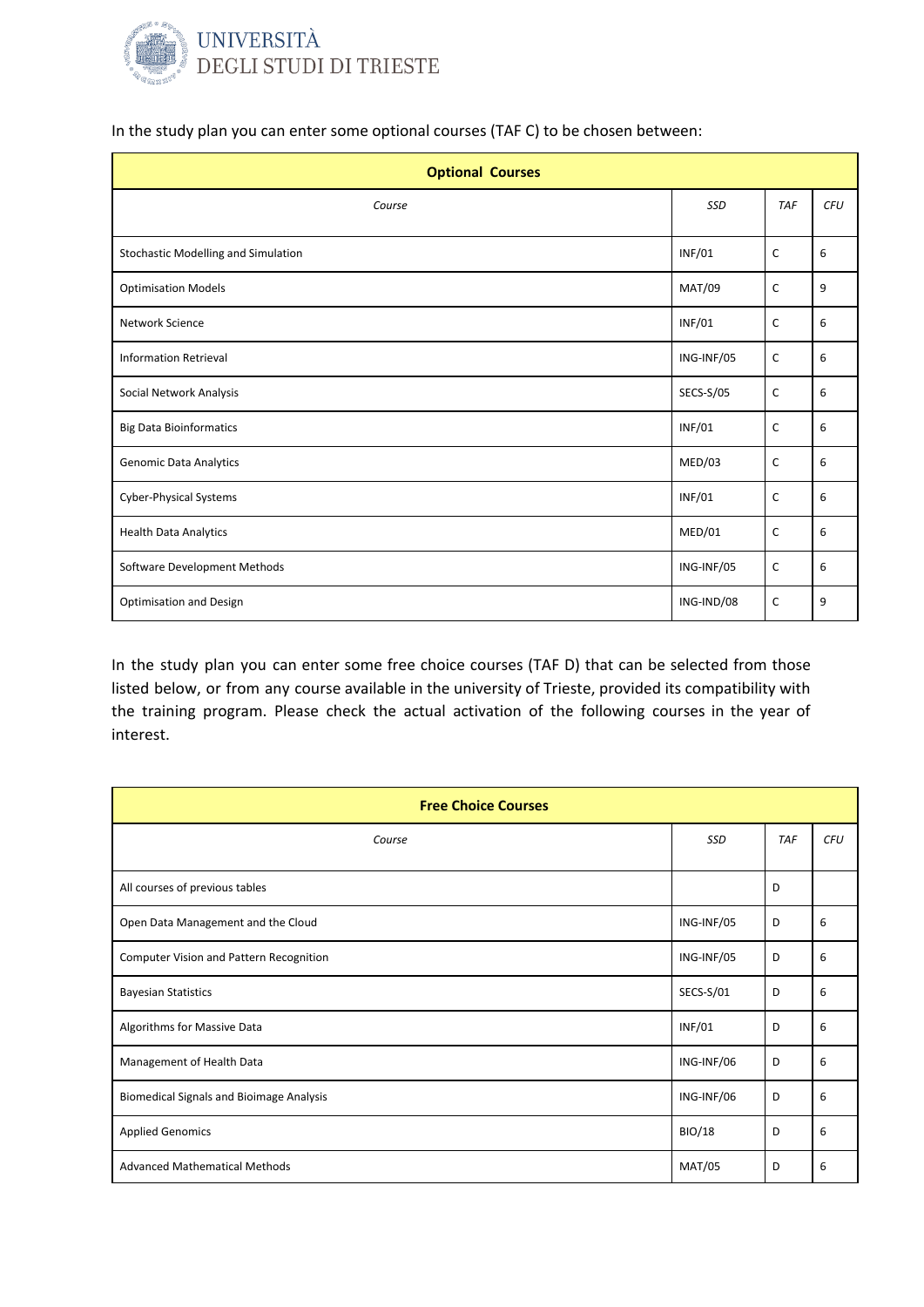

In the study plan you can enter some optional courses (TAF C) to be chosen between:

| <b>Optional Courses</b>             |               |              |            |  |  |
|-------------------------------------|---------------|--------------|------------|--|--|
| Course                              | SSD           | <b>TAF</b>   | <b>CFU</b> |  |  |
| Stochastic Modelling and Simulation | <b>INF/01</b> | $\mathsf{C}$ | 6          |  |  |
| <b>Optimisation Models</b>          | MAT/09        | C            | 9          |  |  |
| Network Science                     | <b>INF/01</b> | C            | 6          |  |  |
| <b>Information Retrieval</b>        | ING-INF/05    | $\mathsf{C}$ | 6          |  |  |
| Social Network Analysis             | SECS-S/05     | C            | 6          |  |  |
| <b>Big Data Bioinformatics</b>      | <b>INF/01</b> | C            | 6          |  |  |
| <b>Genomic Data Analytics</b>       | MED/03        | C            | 6          |  |  |
| <b>Cyber-Physical Systems</b>       | <b>INF/01</b> | C            | 6          |  |  |
| <b>Health Data Analytics</b>        | MED/01        | C            | 6          |  |  |
| Software Development Methods        | ING-INF/05    | C            | 6          |  |  |
| <b>Optimisation and Design</b>      | ING-IND/08    | C            | 9          |  |  |

In the study plan you can enter some free choice courses (TAF D) that can be selected from those listed below, or from any course available in the university of Trieste, provided its compatibility with the training program. Please check the actual activation of the following courses in the year of interest.

| <b>Free Choice Courses</b>                      |               |     |     |  |  |
|-------------------------------------------------|---------------|-----|-----|--|--|
| Course                                          | <b>SSD</b>    | TAF | CFU |  |  |
| All courses of previous tables                  |               | D   |     |  |  |
| Open Data Management and the Cloud              | ING-INF/05    | D   | 6   |  |  |
| Computer Vision and Pattern Recognition         | ING-INF/05    | D   | 6   |  |  |
| <b>Bayesian Statistics</b>                      | SECS-S/01     | D   | 6   |  |  |
| Algorithms for Massive Data                     | <b>INF/01</b> | D   | 6   |  |  |
| Management of Health Data                       | ING-INF/06    | D   | 6   |  |  |
| <b>Biomedical Signals and Bioimage Analysis</b> | ING-INF/06    | D   | 6   |  |  |
| <b>Applied Genomics</b>                         | <b>BIO/18</b> | D   | 6   |  |  |
| <b>Advanced Mathematical Methods</b>            | <b>MAT/05</b> | D   | 6   |  |  |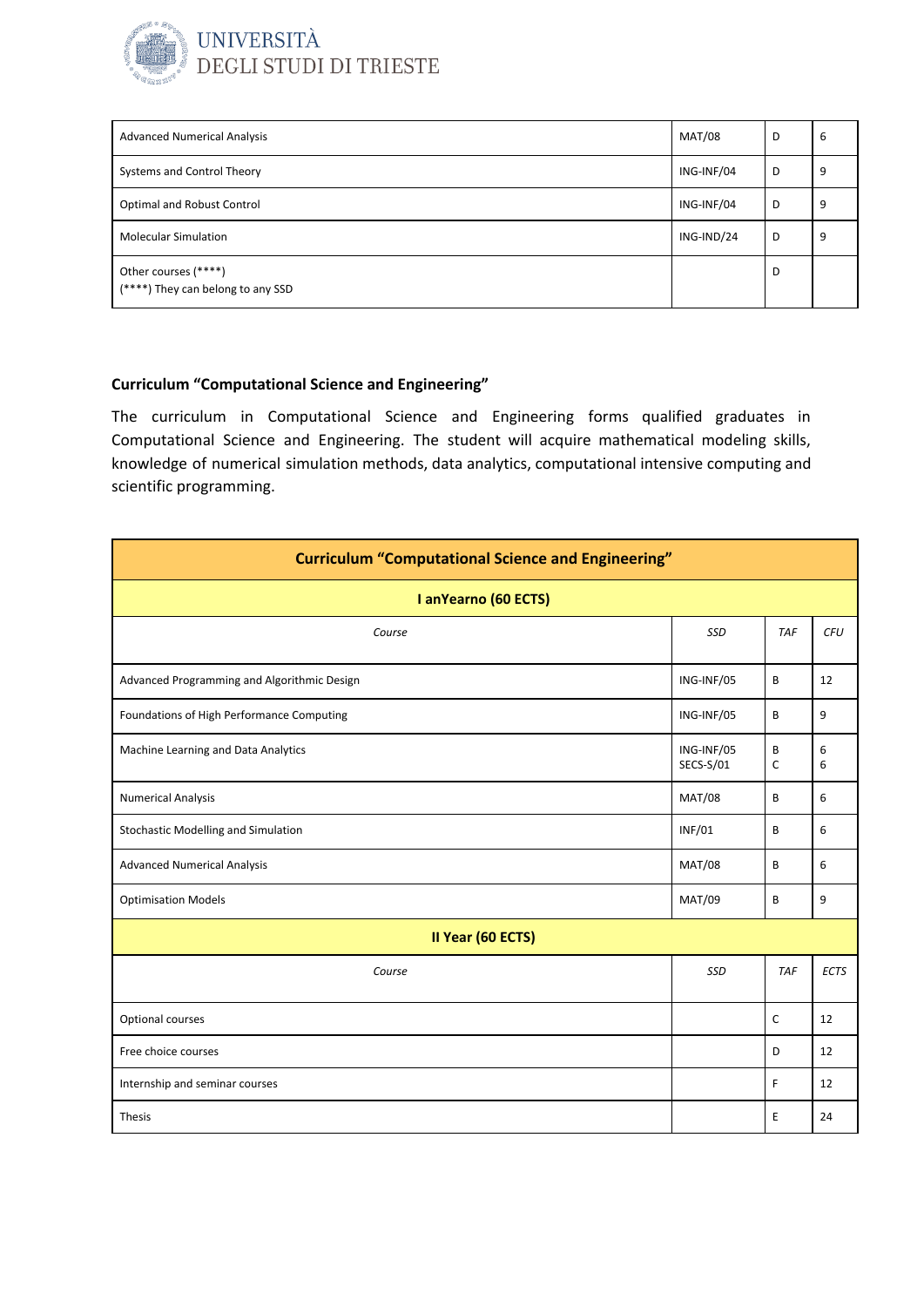

| <b>Advanced Numerical Analysis</b>                        | <b>MAT/08</b> | D | b |
|-----------------------------------------------------------|---------------|---|---|
| Systems and Control Theory                                | ING-INF/04    | D |   |
| Optimal and Robust Control                                | ING-INF/04    | D |   |
| <b>Molecular Simulation</b>                               | ING-IND/24    | D |   |
| Other courses (****)<br>(****) They can belong to any SSD |               | D |   |

The curriculum in Computational Science and Engineering forms qualified graduates in Computational Science and Engineering. The student will acquire mathematical modeling skills, knowledge of numerical simulation methods, data analytics, computational intensive computing and scientific programming.

| <b>Curriculum "Computational Science and Engineering"</b> |                         |                   |             |
|-----------------------------------------------------------|-------------------------|-------------------|-------------|
| I anYearno (60 ECTS)                                      |                         |                   |             |
| Course                                                    | SSD                     | <b>TAF</b>        | <b>CFU</b>  |
| Advanced Programming and Algorithmic Design               | ING-INF/05              | B                 | 12          |
| Foundations of High Performance Computing                 | ING-INF/05              | B                 | 9           |
| Machine Learning and Data Analytics                       | ING-INF/05<br>SECS-S/01 | B<br>$\mathsf{C}$ | 6<br>6      |
| <b>Numerical Analysis</b>                                 | <b>MAT/08</b>           | B                 | 6           |
| Stochastic Modelling and Simulation                       | <b>INF/01</b>           | B                 | 6           |
| <b>Advanced Numerical Analysis</b>                        | <b>MAT/08</b>           | B                 | 6           |
| <b>Optimisation Models</b>                                | <b>MAT/09</b>           | B                 | 9           |
| II Year (60 ECTS)                                         |                         |                   |             |
| Course                                                    | SSD                     | <b>TAF</b>        | <b>ECTS</b> |
| Optional courses                                          |                         | $\mathsf{C}$      | 12          |
| Free choice courses                                       |                         | D                 | 12          |
| Internship and seminar courses                            |                         | F                 | 12          |
| <b>Thesis</b>                                             |                         | E                 | 24          |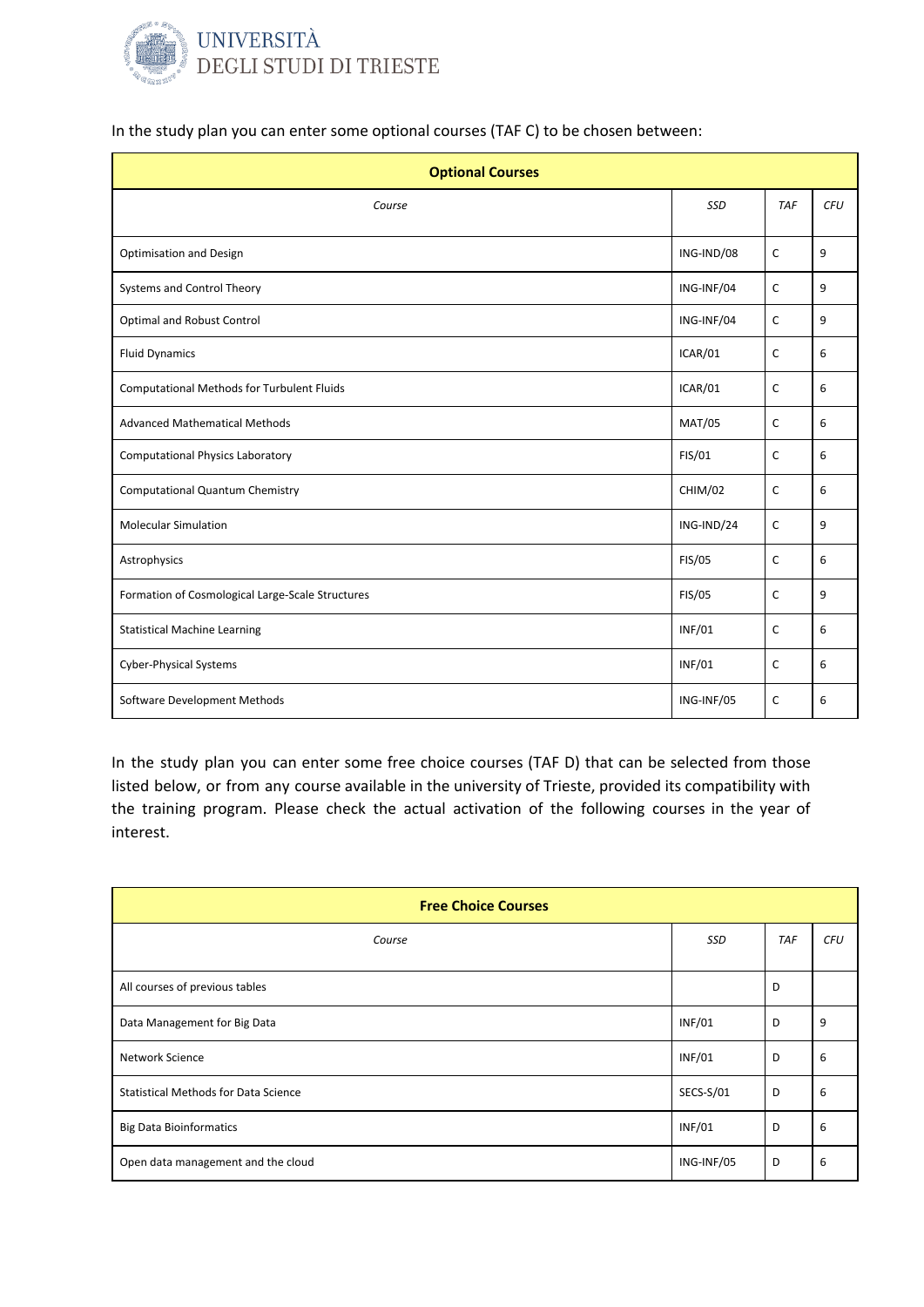

In the study plan you can enter some optional courses (TAF C) to be chosen between:

| <b>Optional Courses</b>                          |               |              |            |  |  |
|--------------------------------------------------|---------------|--------------|------------|--|--|
| Course                                           | SSD           | <b>TAF</b>   | <b>CFU</b> |  |  |
| <b>Optimisation and Design</b>                   | ING-IND/08    | C            | 9          |  |  |
| Systems and Control Theory                       | ING-INF/04    | C            | 9          |  |  |
| Optimal and Robust Control                       | ING-INF/04    | C            | 9          |  |  |
| <b>Fluid Dynamics</b>                            | ICAR/01       | C            | 6          |  |  |
| Computational Methods for Turbulent Fluids       | ICAR/01       | C            | 6          |  |  |
| <b>Advanced Mathematical Methods</b>             | <b>MAT/05</b> | C            | 6          |  |  |
| <b>Computational Physics Laboratory</b>          | FIS/01        | C            | 6          |  |  |
| <b>Computational Quantum Chemistry</b>           | CHIM/02       | C            | 6          |  |  |
| <b>Molecular Simulation</b>                      | ING-IND/24    | C            | 9          |  |  |
| Astrophysics                                     | FIS/05        | $\mathsf{C}$ | 6          |  |  |
| Formation of Cosmological Large-Scale Structures | FIS/05        | C            | 9          |  |  |
| <b>Statistical Machine Learning</b>              | <b>INF/01</b> | C            | 6          |  |  |
| <b>Cyber-Physical Systems</b>                    | <b>INF/01</b> | C            | 6          |  |  |
| Software Development Methods                     | ING-INF/05    | C            | 6          |  |  |

In the study plan you can enter some free choice courses (TAF D) that can be selected from those listed below, or from any course available in the university of Trieste, provided its compatibility with the training program. Please check the actual activation of the following courses in the year of interest.

| <b>Free Choice Courses</b>                  |               |            |     |  |
|---------------------------------------------|---------------|------------|-----|--|
| Course                                      | SSD           | <b>TAF</b> | CFU |  |
| All courses of previous tables              |               | D          |     |  |
| Data Management for Big Data                | <b>INF/01</b> | D          | 9   |  |
| Network Science                             | <b>INF/01</b> | D          | 6   |  |
| <b>Statistical Methods for Data Science</b> | SECS-S/01     | D          | 6   |  |
| <b>Big Data Bioinformatics</b>              | <b>INF/01</b> | D          | 6   |  |
| Open data management and the cloud          | ING-INF/05    | D          | 6   |  |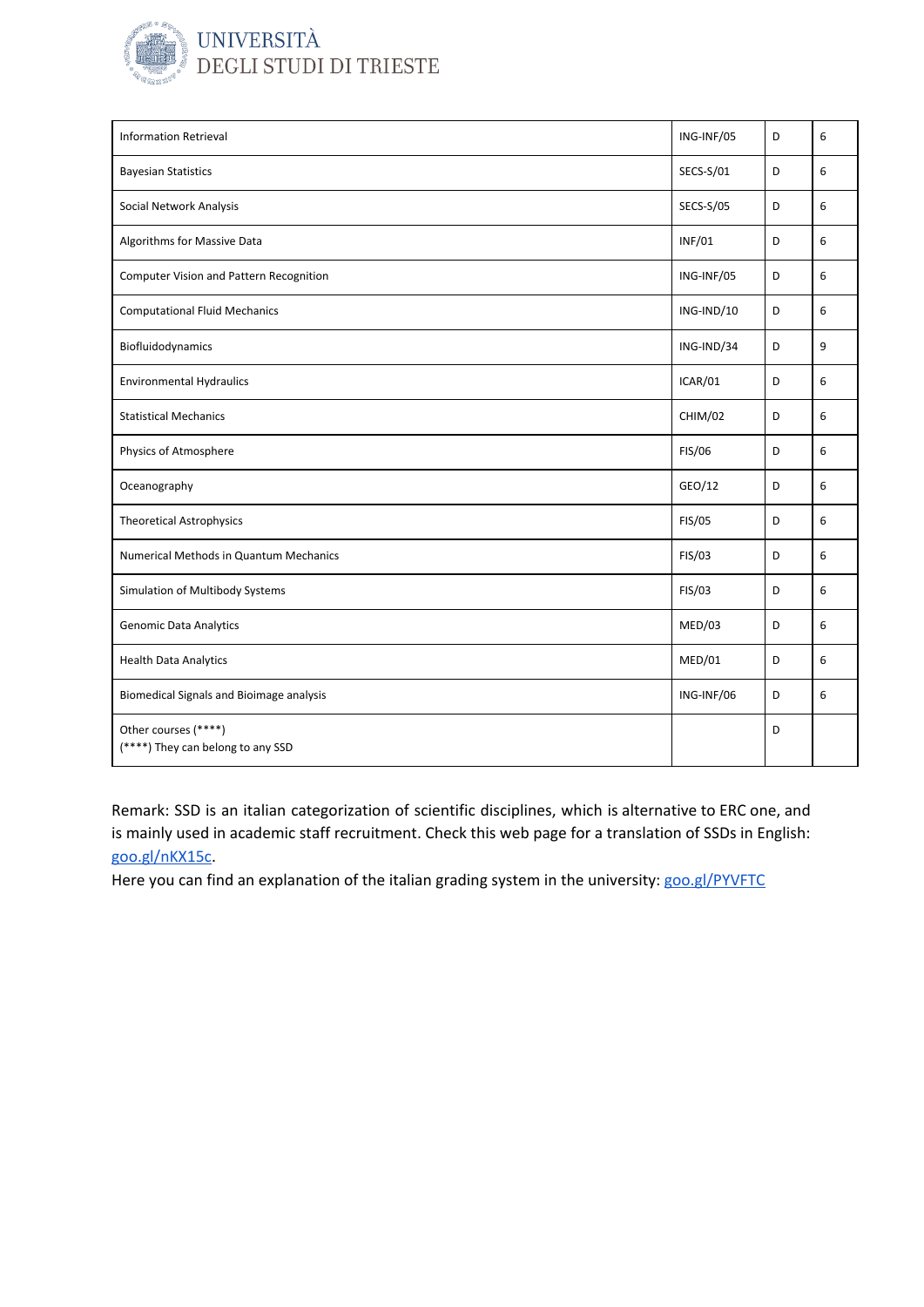

| <b>Information Retrieval</b>                              | ING-INF/05    | D | 6 |
|-----------------------------------------------------------|---------------|---|---|
| <b>Bayesian Statistics</b>                                | SECS-S/01     | D | 6 |
| Social Network Analysis                                   | SECS-S/05     | D | 6 |
| Algorithms for Massive Data                               | <b>INF/01</b> | D | 6 |
| Computer Vision and Pattern Recognition                   | ING-INF/05    | D | 6 |
| <b>Computational Fluid Mechanics</b>                      | ING-IND/10    | D | 6 |
| Biofluidodynamics                                         | ING-IND/34    | D | 9 |
| <b>Environmental Hydraulics</b>                           | ICAR/01       | D | 6 |
| <b>Statistical Mechanics</b>                              | CHIM/02       | D | 6 |
| Physics of Atmosphere                                     | <b>FIS/06</b> | D | 6 |
| Oceanography                                              | GEO/12        | D | 6 |
| <b>Theoretical Astrophysics</b>                           | FIS/05        | D | 6 |
| Numerical Methods in Quantum Mechanics                    | FIS/03        | D | 6 |
| Simulation of Multibody Systems                           | FIS/03        | D | 6 |
| <b>Genomic Data Analytics</b>                             | MED/03        | D | 6 |
| <b>Health Data Analytics</b>                              | MED/01        | D | 6 |
| <b>Biomedical Signals and Bioimage analysis</b>           | ING-INF/06    | D | 6 |
| Other courses (****)<br>(****) They can belong to any SSD |               | D |   |

Remark: SSD is an italian categorization of scientific disciplines, which is alternative to ERC one, and is mainly used in academic staff recruitment. Check this web page for a translation of SSDs in English: [goo.gl/nKX15c.](https://goo.gl/nKX15c)

Here you can find an explanation of the italian grading system in the university: [goo.gl/PYVFTC](https://goo.gl/PYVFTC)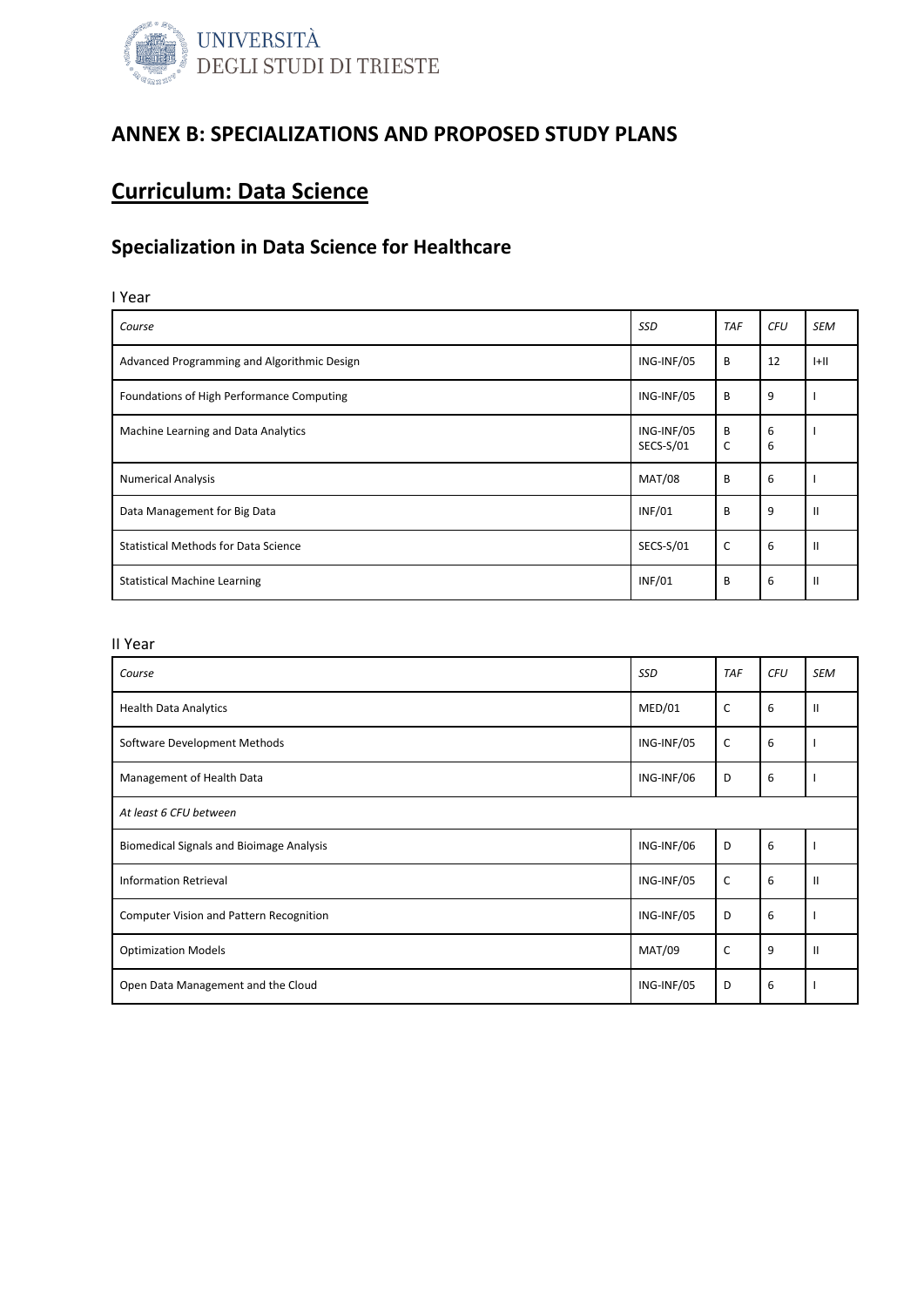

### ANNEX B: SPECIALIZATIONS AND PROPOSED STUDY PLANS

## Curriculum: Data Science

### Specialization in Data Science for Healthcare

### I Year

| Course                                      | <b>SSD</b>              | <b>TAF</b> | <b>CFU</b> | <b>SEM</b>    |
|---------------------------------------------|-------------------------|------------|------------|---------------|
| Advanced Programming and Algorithmic Design | ING-INF/05              | B          | 12         | H             |
| Foundations of High Performance Computing   | ING-INF/05              | B          | 9          |               |
| Machine Learning and Data Analytics         | ING-INF/05<br>SECS-S/01 | B<br>C     | 6<br>6     |               |
| <b>Numerical Analysis</b>                   | <b>MAT/08</b>           | B          | 6          |               |
| Data Management for Big Data                | <b>INF/01</b>           | B          | 9          | $\mathbf{I}$  |
| <b>Statistical Methods for Data Science</b> | SECS-S/01               | C          | 6          | $\mathbf{II}$ |
| <b>Statistical Machine Learning</b>         | <b>INF/01</b>           | B          | 6          | $\mathbf{H}$  |

| Course                                          | SSD           | <b>TAF</b>   | <b>CFU</b> | <b>SEM</b>    |  |
|-------------------------------------------------|---------------|--------------|------------|---------------|--|
| <b>Health Data Analytics</b>                    | MED/01        | C            | 6          | $\mathbf{I}$  |  |
| Software Development Methods                    | ING-INF/05    | $\mathsf{C}$ | 6          |               |  |
| Management of Health Data                       | ING-INF/06    | D            | 6          |               |  |
| At least 6 CFU between                          |               |              |            |               |  |
| <b>Biomedical Signals and Bioimage Analysis</b> | ING-INF/06    | D            | 6          |               |  |
| <b>Information Retrieval</b>                    | ING-INF/05    | $\mathsf{C}$ | 6          | $\mathbf{II}$ |  |
| Computer Vision and Pattern Recognition         | ING-INF/05    | D            | 6          |               |  |
| <b>Optimization Models</b>                      | <b>MAT/09</b> | C            | 9          | $\mathbf{II}$ |  |
| Open Data Management and the Cloud              | ING-INF/05    | D            | 6          |               |  |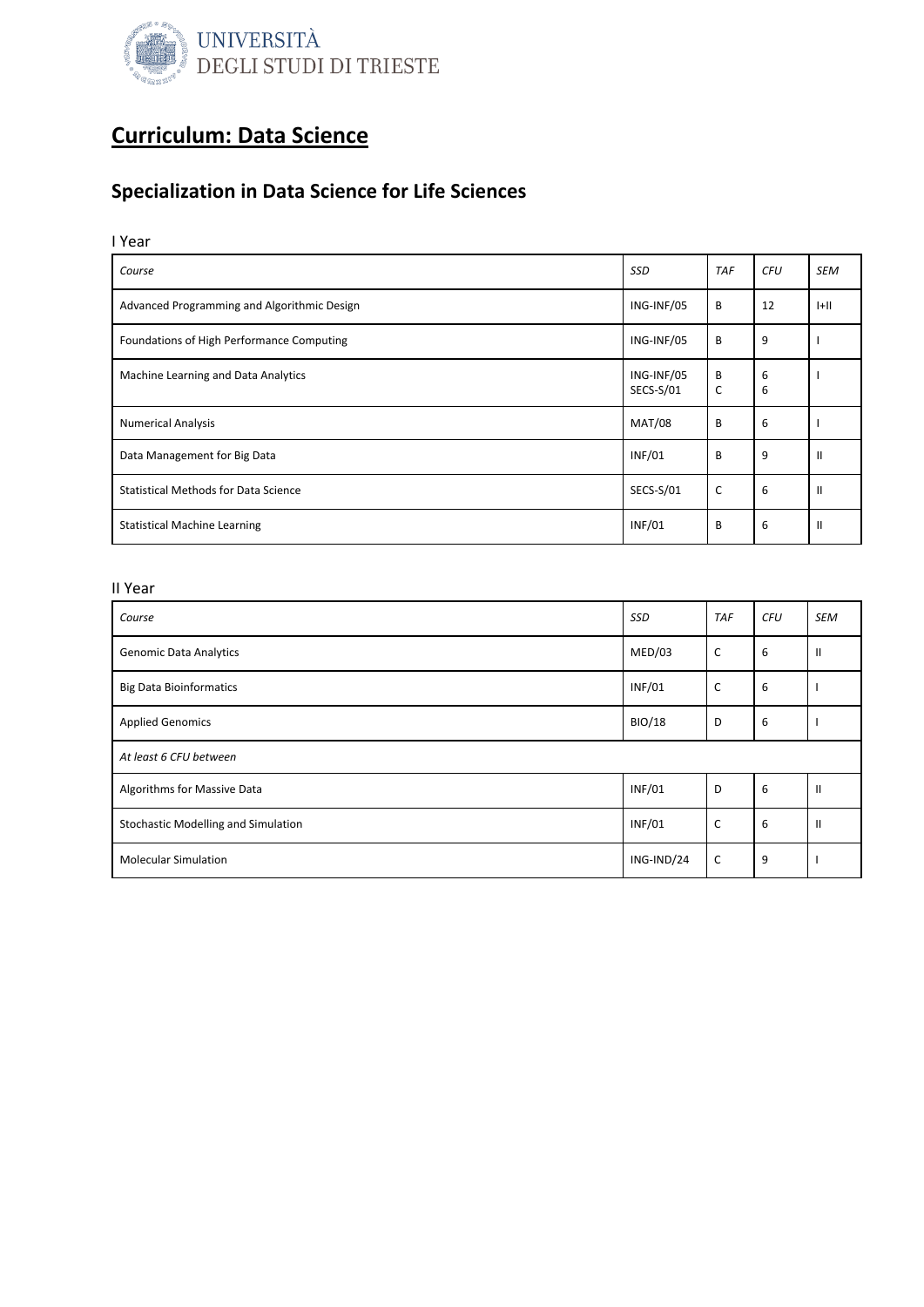

### Specialization in Data Science for Life Sciences

I Year

| Course                                      | <b>SSD</b>              | <b>TAF</b> | <b>CFU</b> | <b>SEM</b>   |
|---------------------------------------------|-------------------------|------------|------------|--------------|
| Advanced Programming and Algorithmic Design | ING-INF/05              | B          | 12         | $ +  $       |
| Foundations of High Performance Computing   | ING-INF/05              | B          | 9          |              |
| Machine Learning and Data Analytics         | ING-INF/05<br>SECS-S/01 | B<br>C     | 6<br>6     |              |
| <b>Numerical Analysis</b>                   | <b>MAT/08</b>           | B          | 6          |              |
| Data Management for Big Data                | <b>INF/01</b>           | B          | 9          | $\mathbf{I}$ |
| <b>Statistical Methods for Data Science</b> | SECS-S/01               | C          | 6          | H            |
| <b>Statistical Machine Learning</b>         | <b>INF/01</b>           | B          | 6          | H            |

| Course                              | <b>SSD</b>    | <b>TAF</b> | <b>CFU</b> | <b>SEM</b>    |  |
|-------------------------------------|---------------|------------|------------|---------------|--|
| <b>Genomic Data Analytics</b>       | MED/03        | C          | 6          | Ш             |  |
| <b>Big Data Bioinformatics</b>      | <b>INF/01</b> | C          | 6          |               |  |
| <b>Applied Genomics</b>             | <b>BIO/18</b> | D          | 6          |               |  |
| At least 6 CFU between              |               |            |            |               |  |
| Algorithms for Massive Data         | <b>INF/01</b> | D          | 6          | $\mathbf{II}$ |  |
| Stochastic Modelling and Simulation | <b>INF/01</b> | C          | 6          | $\mathbf{H}$  |  |
| <b>Molecular Simulation</b>         | ING-IND/24    | C          | 9          |               |  |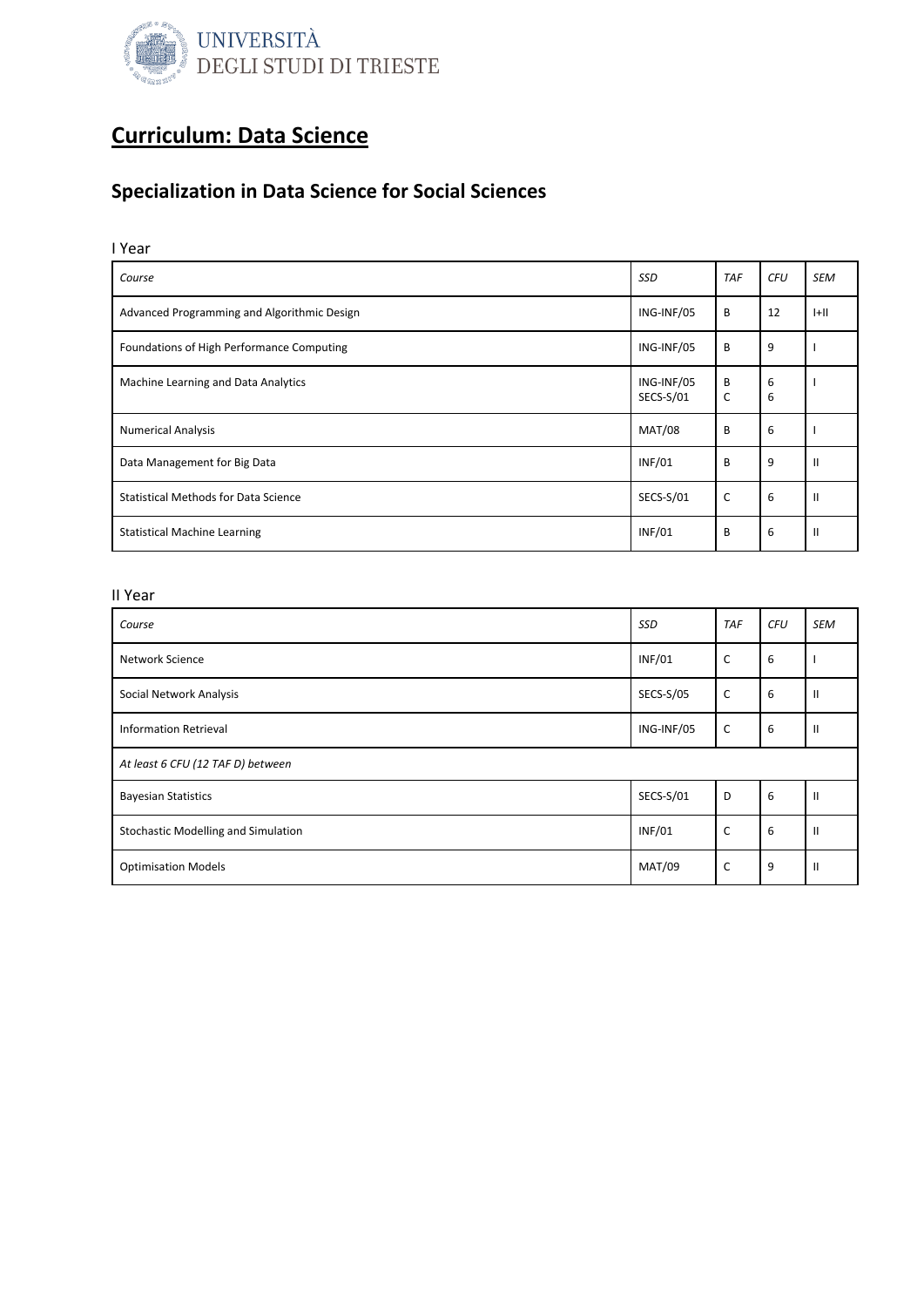

### Specialization in Data Science for Social Sciences

### I Year

| Course                                      | <b>SSD</b>              | <b>TAF</b> | <b>CFU</b> | <b>SEM</b>    |
|---------------------------------------------|-------------------------|------------|------------|---------------|
| Advanced Programming and Algorithmic Design | ING-INF/05              | B          | 12         | H             |
| Foundations of High Performance Computing   | ING-INF/05              | B          | 9          |               |
| Machine Learning and Data Analytics         | ING-INF/05<br>SECS-S/01 | B<br>C     | 6<br>6     |               |
| <b>Numerical Analysis</b>                   | <b>MAT/08</b>           | B          | 6          |               |
| Data Management for Big Data                | <b>INF/01</b>           | B          | 9          | $\mathbf{I}$  |
| <b>Statistical Methods for Data Science</b> | SECS-S/01               | C          | 6          | $\mathbf{II}$ |
| <b>Statistical Machine Learning</b>         | <b>INF/01</b>           | B          | 6          | $\mathbf{I}$  |

| Course                                     | SSD              | <b>TAF</b>   | <b>CFU</b> | <b>SEM</b>     |
|--------------------------------------------|------------------|--------------|------------|----------------|
| Network Science                            | <b>INF/01</b>    | C            | 6          |                |
| Social Network Analysis                    | <b>SECS-S/05</b> | $\mathsf{C}$ | 6          | $\mathbf{H}$   |
| <b>Information Retrieval</b>               | ING-INF/05       | C            | 6          | $\mathbf{II}$  |
| At least 6 CFU (12 TAF D) between          |                  |              |            |                |
| <b>Bayesian Statistics</b>                 | SECS-S/01        | D            | 6          | $\mathbf{II}$  |
| <b>Stochastic Modelling and Simulation</b> | <b>INF/01</b>    | C            | 6          | $\mathbf{II}$  |
| <b>Optimisation Models</b>                 | <b>MAT/09</b>    | C            | 9          | $\mathsf{II}%$ |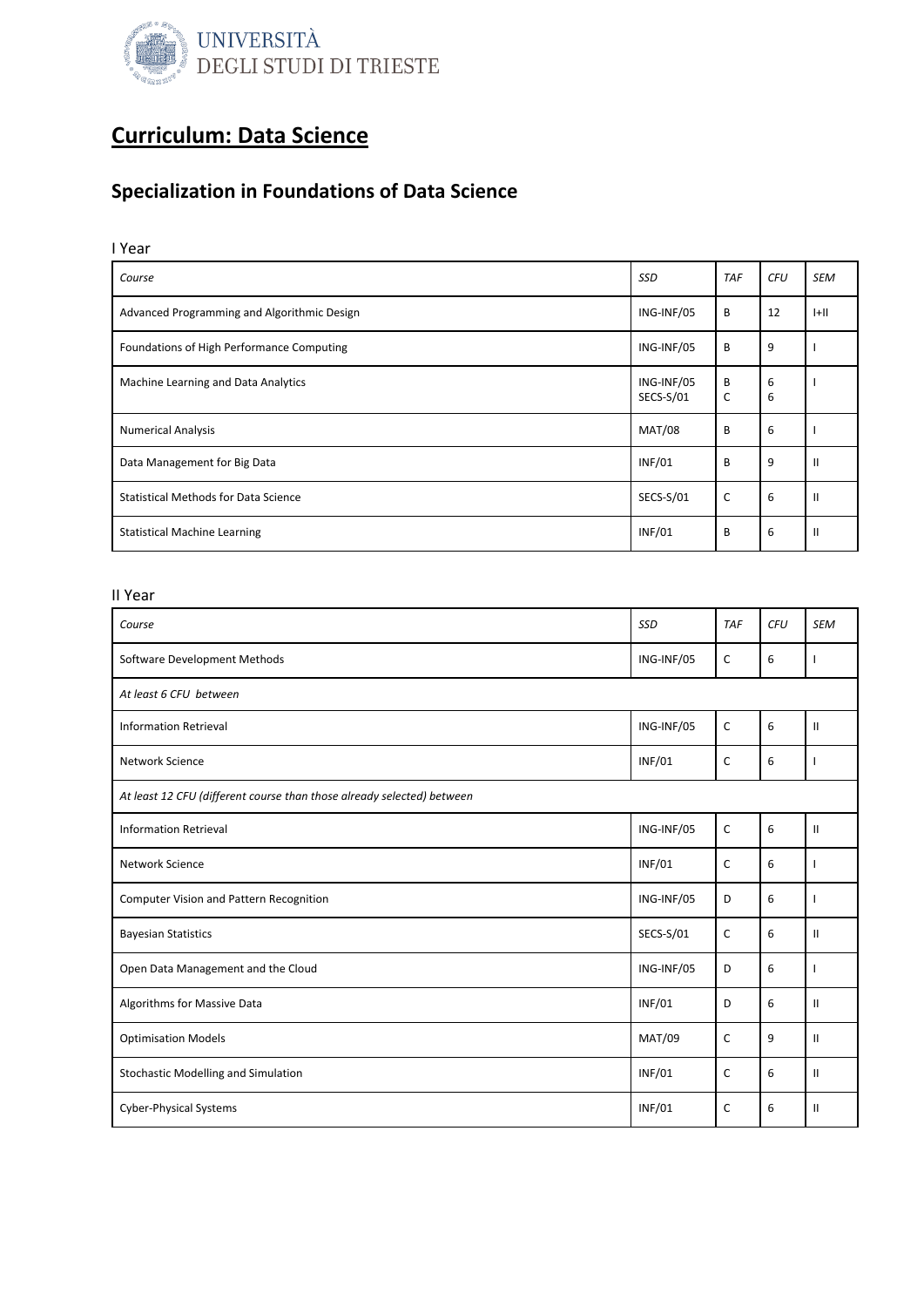

### Specialization in Foundations of Data Science

### I Year

| Course                                      | <b>SSD</b>              | <b>TAF</b> | <b>CFU</b> | <b>SEM</b>    |
|---------------------------------------------|-------------------------|------------|------------|---------------|
| Advanced Programming and Algorithmic Design | ING-INF/05              | B          | 12         | $ +  $        |
| Foundations of High Performance Computing   | ING-INF/05              | B          | 9          |               |
| Machine Learning and Data Analytics         | ING-INF/05<br>SECS-S/01 | B<br>C     | 6<br>6     |               |
| <b>Numerical Analysis</b>                   | <b>MAT/08</b>           | B          | 6          |               |
| Data Management for Big Data                | <b>INF/01</b>           | B          | 9          | $\mathbf{I}$  |
| <b>Statistical Methods for Data Science</b> | SECS-S/01               | C          | 6          | $\mathbf{II}$ |
| <b>Statistical Machine Learning</b>         | <b>INF/01</b>           | B          | 6          | $\mathbf{I}$  |

| Course                                                                 | SSD           | <b>TAF</b>   | <b>CFU</b> | <b>SEM</b>    |  |
|------------------------------------------------------------------------|---------------|--------------|------------|---------------|--|
| Software Development Methods                                           | ING-INF/05    | C            | 6          | ı             |  |
| At least 6 CFU between                                                 |               |              |            |               |  |
| <b>Information Retrieval</b>                                           | ING-INF/05    | C            | 6          | $\mathbf{II}$ |  |
| Network Science                                                        | <b>INF/01</b> | C            | 6          | ı             |  |
| At least 12 CFU (different course than those already selected) between |               |              |            |               |  |
| <b>Information Retrieval</b>                                           | ING-INF/05    | C            | 6          | $\mathbf{II}$ |  |
| Network Science                                                        | <b>INF/01</b> | C            | 6          | ı             |  |
| Computer Vision and Pattern Recognition                                | ING-INF/05    | D            | 6          | I             |  |
| <b>Bayesian Statistics</b>                                             | SECS-S/01     | C            | 6          | $\mathbf{II}$ |  |
| Open Data Management and the Cloud                                     | ING-INF/05    | D            | 6          | $\mathbf{I}$  |  |
| Algorithms for Massive Data                                            | <b>INF/01</b> | D            | 6          | $\mathbf{II}$ |  |
| <b>Optimisation Models</b>                                             | <b>MAT/09</b> | $\mathsf{C}$ | 9          | $\mathbf{II}$ |  |
| <b>Stochastic Modelling and Simulation</b>                             | <b>INF/01</b> | $\mathsf{C}$ | 6          | $\mathbf{II}$ |  |
| <b>Cyber-Physical Systems</b>                                          | <b>INF/01</b> | C            | 6          | $\mathbf{II}$ |  |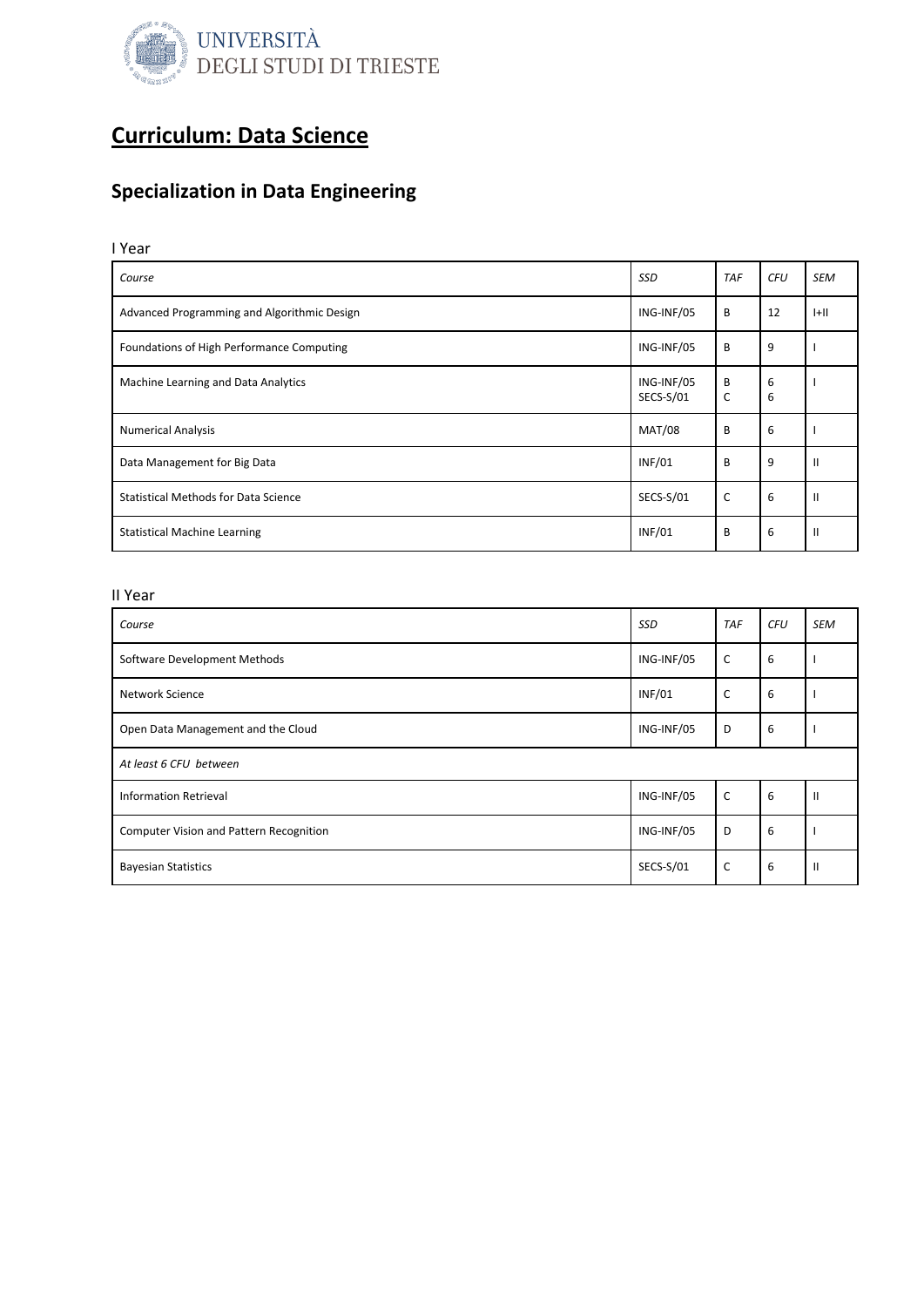

## Specialization in Data Engineering

### I Year

| Course                                      | <b>SSD</b>              | <b>TAF</b> | <b>CFU</b> | <b>SEM</b>    |
|---------------------------------------------|-------------------------|------------|------------|---------------|
| Advanced Programming and Algorithmic Design | ING-INF/05              | B          | 12         | H             |
| Foundations of High Performance Computing   | ING-INF/05              | B          | 9          |               |
| Machine Learning and Data Analytics         | ING-INF/05<br>SECS-S/01 | B<br>C     | 6<br>6     |               |
| <b>Numerical Analysis</b>                   | <b>MAT/08</b>           | B          | 6          |               |
| Data Management for Big Data                | <b>INF/01</b>           | B          | 9          | $\mathbf{II}$ |
| <b>Statistical Methods for Data Science</b> | SECS-S/01               | C          | 6          | $\mathsf{I}$  |
| <b>Statistical Machine Learning</b>         | <b>INF/01</b>           | B          | 6          | $\mathsf{I}$  |

| Course                                  | <b>SSD</b>    | <b>TAF</b> | <b>CFU</b> | <b>SEM</b>   |
|-----------------------------------------|---------------|------------|------------|--------------|
| Software Development Methods            | ING-INF/05    | C          | 6          |              |
| Network Science                         | <b>INF/01</b> | C          | 6          |              |
| Open Data Management and the Cloud      | ING-INF/05    | D          | 6          |              |
| At least 6 CFU between                  |               |            |            |              |
| <b>Information Retrieval</b>            | ING-INF/05    | C          | 6          | $\mathbf{I}$ |
| Computer Vision and Pattern Recognition | ING-INF/05    | D          | 6          |              |
| <b>Bayesian Statistics</b>              | SECS-S/01     | C          | 6          | $\mathbf{I}$ |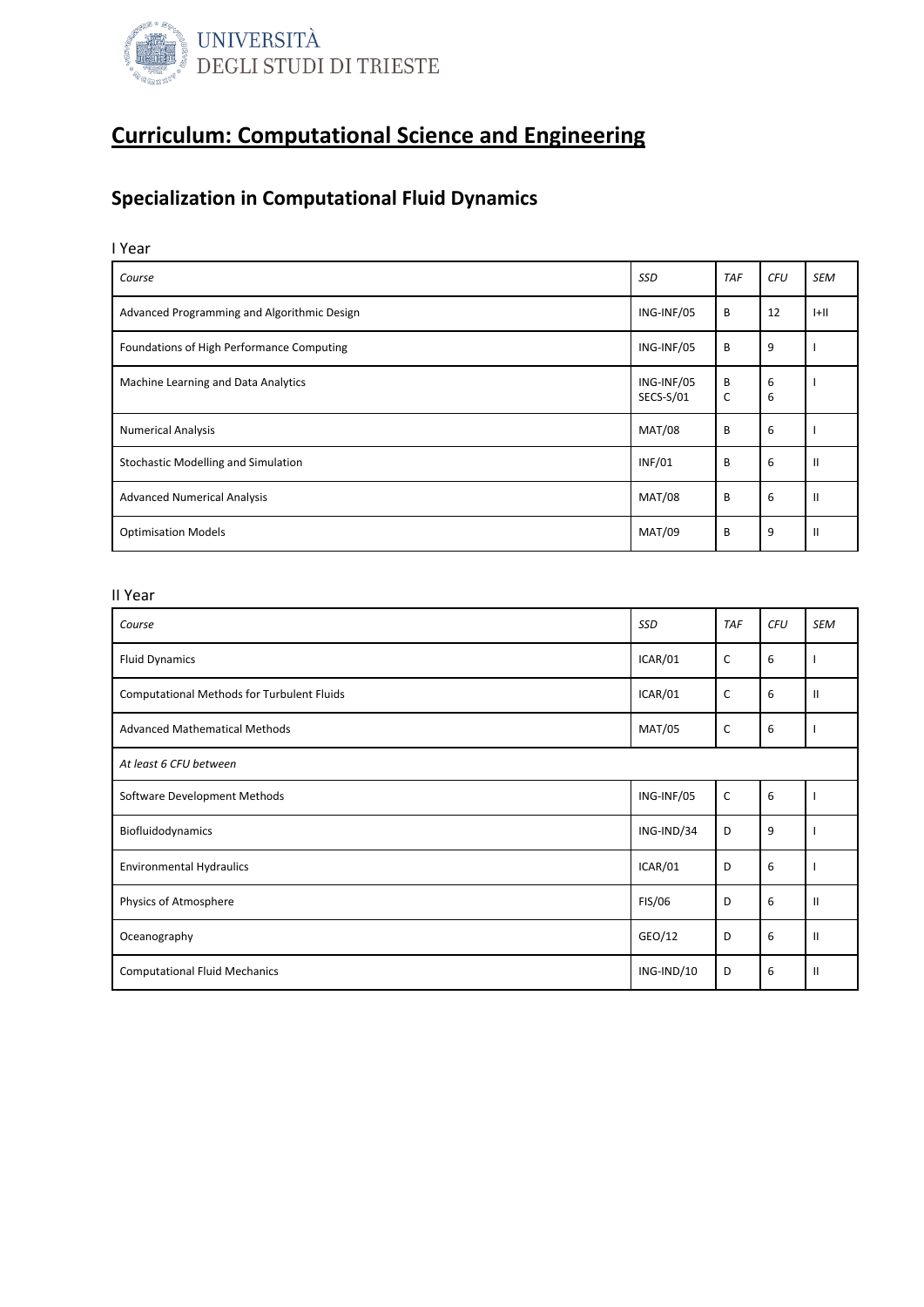

# Specialization in Computational Fluid Dynamics

### I Year

| Course                                      | <b>SSD</b>              | <b>TAF</b> | <b>CFU</b> | <b>SEM</b>    |
|---------------------------------------------|-------------------------|------------|------------|---------------|
| Advanced Programming and Algorithmic Design | ING-INF/05              | B          | 12         | $ +  $        |
| Foundations of High Performance Computing   | ING-INF/05              | B          | 9          |               |
| Machine Learning and Data Analytics         | ING-INF/05<br>SECS-S/01 | B<br>C     | 6<br>6     |               |
| <b>Numerical Analysis</b>                   | <b>MAT/08</b>           | B          | 6          |               |
| Stochastic Modelling and Simulation         | <b>INF/01</b>           | B          | 6          | $\mathbf{I}$  |
| <b>Advanced Numerical Analysis</b>          | <b>MAT/08</b>           | B          | 6          | $\mathbf{II}$ |
| <b>Optimisation Models</b>                  | <b>MAT/09</b>           | B          | 9          | $\mathbf{I}$  |

| Course                                     | SSD           | <b>TAF</b>   | <b>CFU</b> | <b>SEM</b>   |  |
|--------------------------------------------|---------------|--------------|------------|--------------|--|
| <b>Fluid Dynamics</b>                      | ICAR/01       | $\mathsf{C}$ | 6          |              |  |
| Computational Methods for Turbulent Fluids | ICAR/01       | C            | 6          | $\mathbf{I}$ |  |
| <b>Advanced Mathematical Methods</b>       | <b>MAT/05</b> | $\mathsf{C}$ | 6          |              |  |
| At least 6 CFU between                     |               |              |            |              |  |
| Software Development Methods               | ING-INF/05    | C            | 6          |              |  |
| Biofluidodynamics                          | ING-IND/34    | D            | 9          |              |  |
| <b>Environmental Hydraulics</b>            | ICAR/01       | D            | 6          |              |  |
| Physics of Atmosphere                      | <b>FIS/06</b> | D            | 6          | $\mathbf{H}$ |  |
| Oceanography                               | GEO/12        | D            | 6          | $\mathbf{I}$ |  |
| <b>Computational Fluid Mechanics</b>       | ING-IND/10    | D            | 6          | $\mathbf{I}$ |  |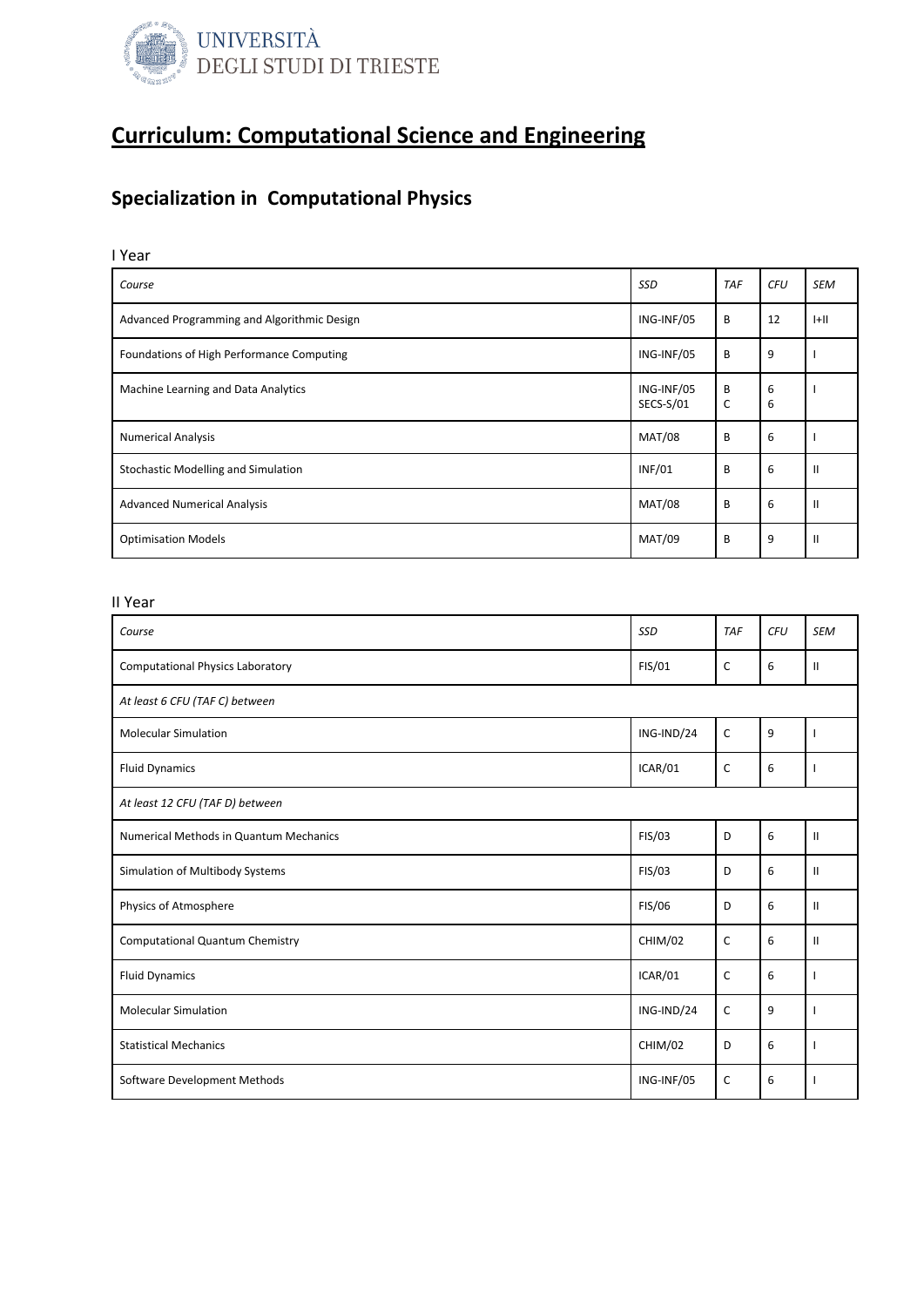

### Specialization in Computational Physics

I Year

| Course                                      | <b>SSD</b>              | <b>TAF</b> | <b>CFU</b> | <b>SEM</b>    |
|---------------------------------------------|-------------------------|------------|------------|---------------|
| Advanced Programming and Algorithmic Design | ING-INF/05              | B          | 12         | H             |
| Foundations of High Performance Computing   | ING-INF/05              | B          | 9          |               |
| Machine Learning and Data Analytics         | ING-INF/05<br>SECS-S/01 | B<br>C     | 6<br>6     |               |
| <b>Numerical Analysis</b>                   | <b>MAT/08</b>           | B          | 6          |               |
| <b>Stochastic Modelling and Simulation</b>  | <b>INF/01</b>           | B          | 6          | $\mathbf{H}$  |
| <b>Advanced Numerical Analysis</b>          | <b>MAT/08</b>           | B          | 6          | $\mathbf{H}$  |
| <b>Optimisation Models</b>                  | <b>MAT/09</b>           | B          | 9          | $\mathbf{II}$ |

| Course                                  | SSD           | <b>TAF</b>   | <b>CFU</b> | <b>SEM</b>    |
|-----------------------------------------|---------------|--------------|------------|---------------|
| <b>Computational Physics Laboratory</b> | FIS/01        | $\mathsf{C}$ | 6          | $\mathbf{II}$ |
| At least 6 CFU (TAF C) between          |               |              |            |               |
| <b>Molecular Simulation</b>             | ING-IND/24    | $\mathsf{C}$ | 9          |               |
| <b>Fluid Dynamics</b>                   | ICAR/01       | C            | 6          |               |
| At least 12 CFU (TAF D) between         |               |              |            |               |
| Numerical Methods in Quantum Mechanics  | <b>FIS/03</b> | D            | 6          | $\mathbf{II}$ |
| Simulation of Multibody Systems         | FIS/03        | D            | 6          | $\mathbf{II}$ |
| Physics of Atmosphere                   | <b>FIS/06</b> | D            | 6          | $\mathbf{II}$ |
| <b>Computational Quantum Chemistry</b>  | CHIM/02       | C            | 6          | $\mathbf{II}$ |
| <b>Fluid Dynamics</b>                   | ICAR/01       | C            | 6          |               |
| <b>Molecular Simulation</b>             | ING-IND/24    | $\mathsf{C}$ | 9          |               |
| <b>Statistical Mechanics</b>            | CHIM/02       | D            | 6          |               |
| Software Development Methods            | ING-INF/05    | $\mathsf{C}$ | 6          | ı             |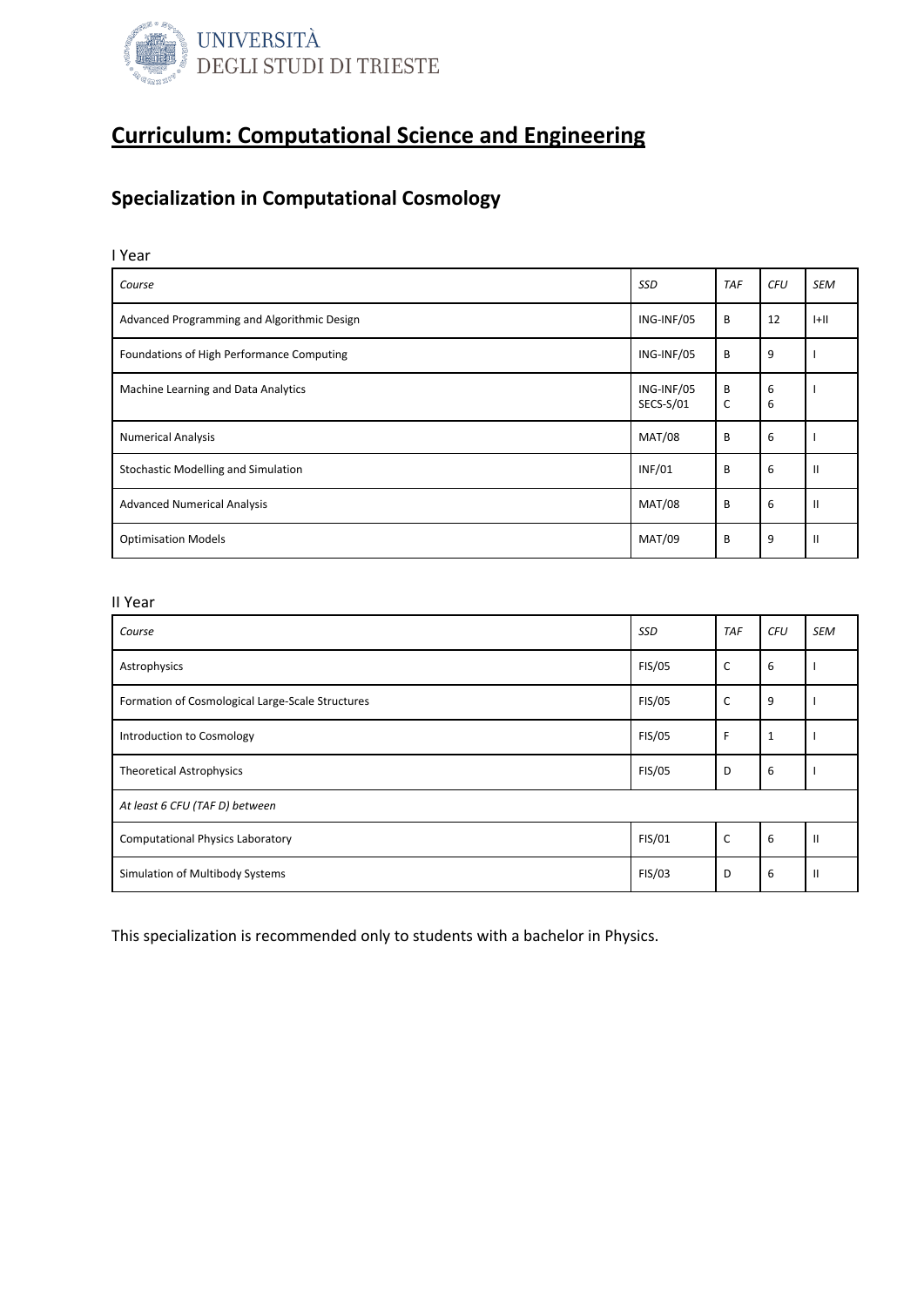

### Specialization in Computational Cosmology

I Year

| Course                                      | <b>SSD</b>              | <b>TAF</b> | <b>CFU</b> | <b>SEM</b>    |
|---------------------------------------------|-------------------------|------------|------------|---------------|
| Advanced Programming and Algorithmic Design | ING-INF/05              | B          | 12         | H             |
| Foundations of High Performance Computing   | ING-INF/05              | B          | 9          |               |
| Machine Learning and Data Analytics         | ING-INF/05<br>SECS-S/01 | B<br>C     | 6<br>6     |               |
| <b>Numerical Analysis</b>                   | <b>MAT/08</b>           | B          | 6          |               |
| Stochastic Modelling and Simulation         | <b>INF/01</b>           | B          | 6          | $\mathsf{I}$  |
| <b>Advanced Numerical Analysis</b>          | <b>MAT/08</b>           | B          | 6          | $\mathbf{H}$  |
| <b>Optimisation Models</b>                  | <b>MAT/09</b>           | B          | 9          | $\mathbf{II}$ |

#### II Year

| Course                                           | SSD           | <b>TAF</b> | <b>CFU</b> | <b>SEM</b>    |
|--------------------------------------------------|---------------|------------|------------|---------------|
| Astrophysics                                     | <b>FIS/05</b> | C          | 6          |               |
| Formation of Cosmological Large-Scale Structures | <b>FIS/05</b> | C          | 9          |               |
| Introduction to Cosmology                        | <b>FIS/05</b> | F          | 1          |               |
| <b>Theoretical Astrophysics</b>                  | <b>FIS/05</b> | D          | 6          |               |
| At least 6 CFU (TAF D) between                   |               |            |            |               |
| <b>Computational Physics Laboratory</b>          | FIS/01        | C          | 6          | $\mathbf{H}$  |
| Simulation of Multibody Systems                  | FIS/03        | D          | 6          | $\mathbf{II}$ |

This specialization is recommended only to students with a bachelor in Physics.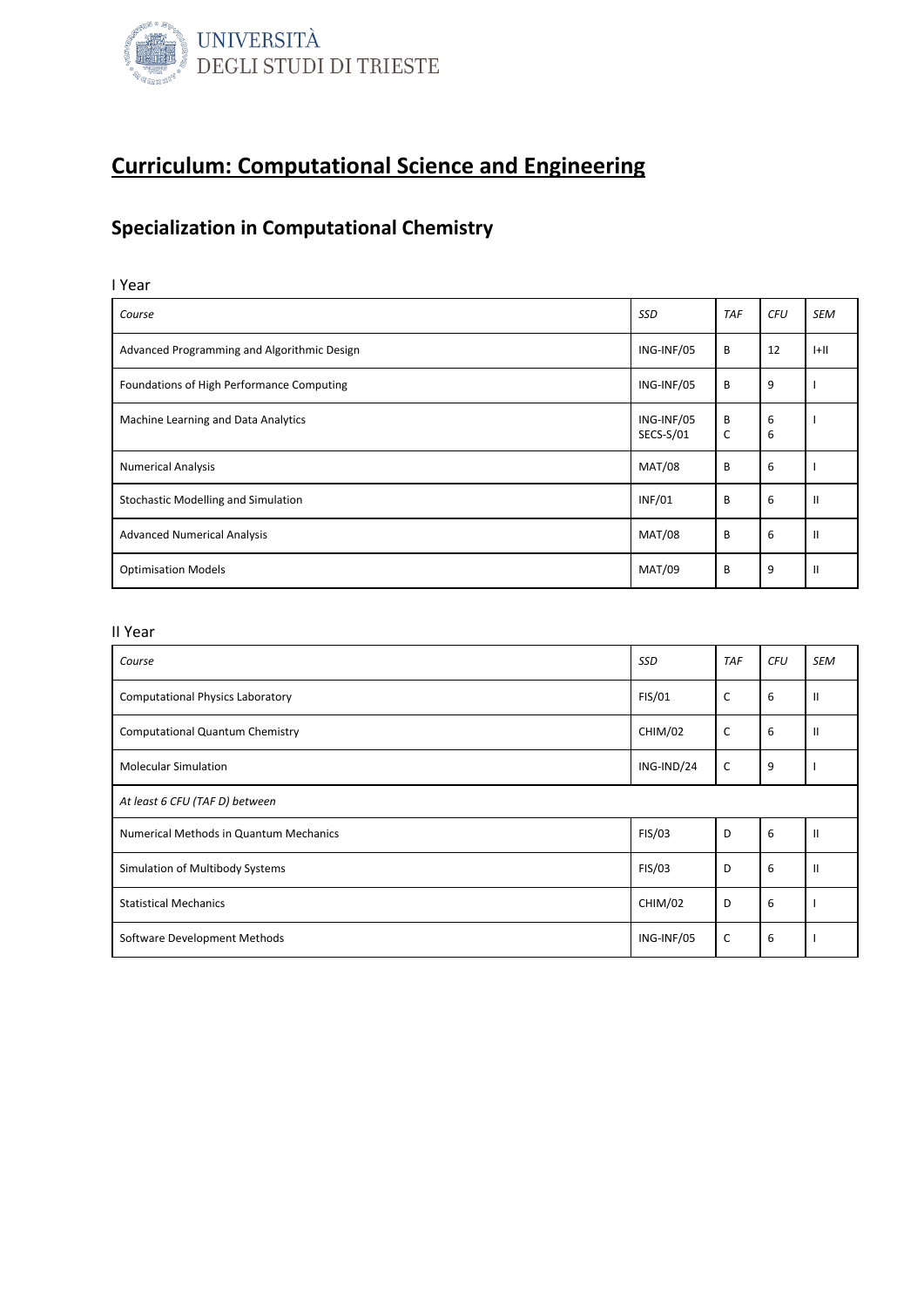

## Specialization in Computational Chemistry

| I Year                                      |                         |            |            |              |
|---------------------------------------------|-------------------------|------------|------------|--------------|
| Course                                      | <b>SSD</b>              | <b>TAF</b> | <b>CFU</b> | <b>SEM</b>   |
| Advanced Programming and Algorithmic Design | ING-INF/05              | B          | 12         | $ +  $       |
| Foundations of High Performance Computing   | ING-INF/05              | B          | 9          |              |
| Machine Learning and Data Analytics         | ING-INF/05<br>SECS-S/01 | B<br>C     | 6<br>6     |              |
| <b>Numerical Analysis</b>                   | <b>MAT/08</b>           | B          | 6          |              |
| Stochastic Modelling and Simulation         | <b>INF/01</b>           | B          | 6          | $\mathbf{I}$ |
| <b>Advanced Numerical Analysis</b>          | <b>MAT/08</b>           | B          | 6          | $\mathbf{I}$ |
| <b>Optimisation Models</b>                  | <b>MAT/09</b>           | B          | 9          | $\mathbf{I}$ |

| Course                                  | <b>SSD</b> | <b>TAF</b>   | <b>CFU</b> | <b>SEM</b>    |
|-----------------------------------------|------------|--------------|------------|---------------|
| <b>Computational Physics Laboratory</b> | FIS/01     | $\mathsf{C}$ | 6          | $\mathbf{H}$  |
| <b>Computational Quantum Chemistry</b>  | CHIM/02    | $\mathsf{C}$ | 6          | $\mathbf{II}$ |
| <b>Molecular Simulation</b>             | ING-IND/24 | $\mathsf{C}$ | 9          |               |
| At least 6 CFU (TAF D) between          |            |              |            |               |
| Numerical Methods in Quantum Mechanics  | FIS/03     | D            | 6          | $\mathbf{I}$  |
| Simulation of Multibody Systems         | FIS/03     | D            | 6          | $\mathbf{I}$  |
| <b>Statistical Mechanics</b>            | CHIM/02    | D            | 6          |               |
| Software Development Methods            | ING-INF/05 | $\mathsf{C}$ | 6          |               |